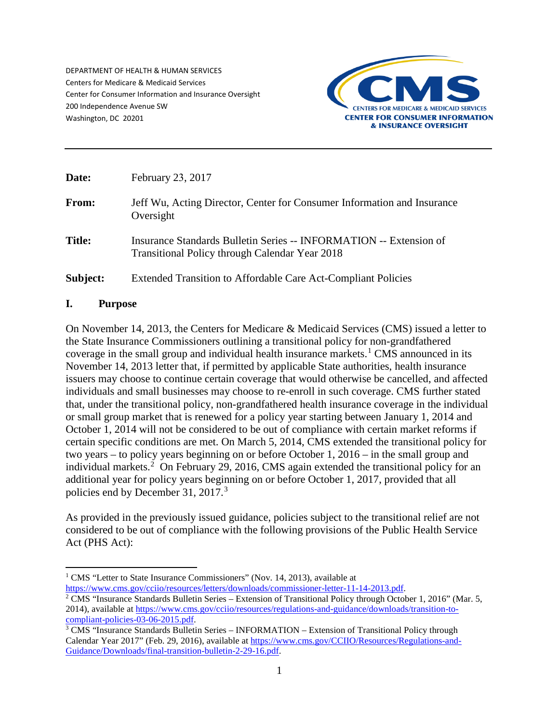DEPARTMENT OF HEALTH & HUMAN SERVICES Centers for Medicare & Medicaid Services Center for Consumer Information and Insurance Oversight 200 Independence Avenue SW Washington, DC 20201



| Date:         | February 23, 2017                                                                                                           |
|---------------|-----------------------------------------------------------------------------------------------------------------------------|
| From:         | Jeff Wu, Acting Director, Center for Consumer Information and Insurance<br>Oversight                                        |
| <b>Title:</b> | Insurance Standards Bulletin Series -- INFORMATION -- Extension of<br><b>Transitional Policy through Calendar Year 2018</b> |
| Subject:      | <b>Extended Transition to Affordable Care Act-Compliant Policies</b>                                                        |

#### **I. Purpose**

On November 14, 2013, the Centers for Medicare & Medicaid Services (CMS) issued a letter to the State Insurance Commissioners outlining a transitional policy for non-grandfathered coverage in the small group and individual health insurance markets.<sup>[1](#page-0-0)</sup> CMS announced in its November 14, 2013 letter that, if permitted by applicable State authorities, health insurance issuers may choose to continue certain coverage that would otherwise be cancelled, and affected individuals and small businesses may choose to re-enroll in such coverage. CMS further stated that, under the transitional policy, non-grandfathered health insurance coverage in the individual or small group market that is renewed for a policy year starting between January 1, 2014 and October 1, 2014 will not be considered to be out of compliance with certain market reforms if certain specific conditions are met. On March 5, 2014, CMS extended the transitional policy for two years – to policy years beginning on or before October 1, 2016 – in the small group and individual markets.<sup>[2](#page-0-1)</sup> On February 29, 2016, CMS again extended the transitional policy for an additional year for policy years beginning on or before October 1, 2017, provided that all policies end by December [3](#page-0-2)1, 2017.<sup>3</sup>

As provided in the previously issued guidance, policies subject to the transitional relief are not considered to be out of compliance with the following provisions of the Public Health Service Act (PHS Act):

<span id="page-0-0"></span><sup>&</sup>lt;sup>1</sup> CMS "Letter to State Insurance Commissioners" (Nov. 14, 2013), available at

<span id="page-0-1"></span>[https://www.cms.gov/cciio/resources/letters/downloads/commissioner-letter-11-14-2013.pdf.](https://www.cms.gov/cciio/resources/letters/downloads/commissioner-letter-11-14-2013.pdf)<br><sup>2</sup> CMS "Insurance Standards Bulletin Series – Extension of Transitional Policy through October 1, 2016" (Mar. 5, 2014), available at https://www.cms.gov/cciio/resources/regulations-and-guidance/downloads/transition-to-<br>compliant-policies-03-06-2015.pdf.

<span id="page-0-2"></span> $3$  CMS "Insurance Standards Bulletin Series – INFORMATION – Extension of Transitional Policy through Calendar Year 2017" (Feb. 29, 2016), available a[t https://www.cms.gov/CCIIO/Resources/Regulations-and-](https://www.cms.gov/CCIIO/Resources/Regulations-and-Guidance/Downloads/final-transition-bulletin-2-29-16.pdf)[Guidance/Downloads/final-transition-bulletin-2-29-16.pdf.](https://www.cms.gov/CCIIO/Resources/Regulations-and-Guidance/Downloads/final-transition-bulletin-2-29-16.pdf)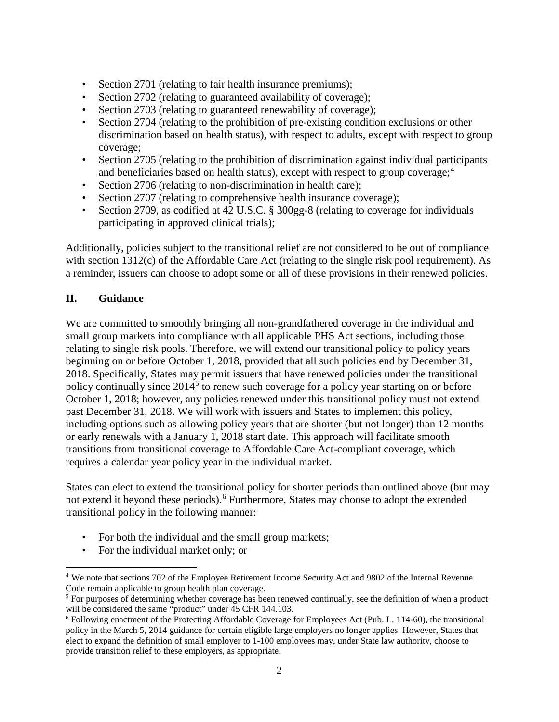- Section 2701 (relating to fair health insurance premiums);
- Section 2702 (relating to guaranteed availability of coverage);
- Section 2703 (relating to guaranteed renewability of coverage);
- Section 2704 (relating to the prohibition of pre-existing condition exclusions or other discrimination based on health status), with respect to adults, except with respect to group coverage;
- Section 2705 (relating to the prohibition of discrimination against individual participants and beneficiaries based on health status), except with respect to group coverage;<sup>[4](#page-1-0)</sup>
- Section 2706 (relating to non-discrimination in health care);
- Section 2707 (relating to comprehensive health insurance coverage);
- Section 2709, as codified at 42 U.S.C. § 300gg-8 (relating to coverage for individuals participating in approved clinical trials);

Additionally, policies subject to the transitional relief are not considered to be out of compliance with section 1312(c) of the Affordable Care Act (relating to the single risk pool requirement). As a reminder, issuers can choose to adopt some or all of these provisions in their renewed policies.

#### **II. Guidance**

l

We are committed to smoothly bringing all non-grandfathered coverage in the individual and small group markets into compliance with all applicable PHS Act sections, including those relating to single risk pools. Therefore, we will extend our transitional policy to policy years beginning on or before October 1, 2018, provided that all such policies end by December 31, 2018. Specifically, States may permit issuers that have renewed policies under the transitional policy continually since  $2014<sup>5</sup>$  $2014<sup>5</sup>$  $2014<sup>5</sup>$  to renew such coverage for a policy year starting on or before October 1, 2018; however, any policies renewed under this transitional policy must not extend past December 31, 2018. We will work with issuers and States to implement this policy, including options such as allowing policy years that are shorter (but not longer) than 12 months or early renewals with a January 1, 2018 start date. This approach will facilitate smooth transitions from transitional coverage to Affordable Care Act-compliant coverage, which requires a calendar year policy year in the individual market.

States can elect to extend the transitional policy for shorter periods than outlined above (but may not extend it beyond these periods).<sup>[6](#page-1-2)</sup> Furthermore, States may choose to adopt the extended transitional policy in the following manner:

- For both the individual and the small group markets;
- For the individual market only; or

<span id="page-1-0"></span><sup>4</sup> We note that sections 702 of the Employee Retirement Income Security Act and 9802 of the Internal Revenue Code remain applicable to group health plan coverage.

<span id="page-1-1"></span><sup>&</sup>lt;sup>5</sup> For purposes of determining whether coverage has been renewed continually, see the definition of when a product will be considered the same "product" under 45 CFR 144.103.

<span id="page-1-2"></span><sup>6</sup> Following enactment of the Protecting Affordable Coverage for Employees Act (Pub. L. 114-60), the transitional policy in the March 5, 2014 guidance for certain eligible large employers no longer applies. However, States that elect to expand the definition of small employer to 1-100 employees may, under State law authority, choose to provide transition relief to these employers, as appropriate.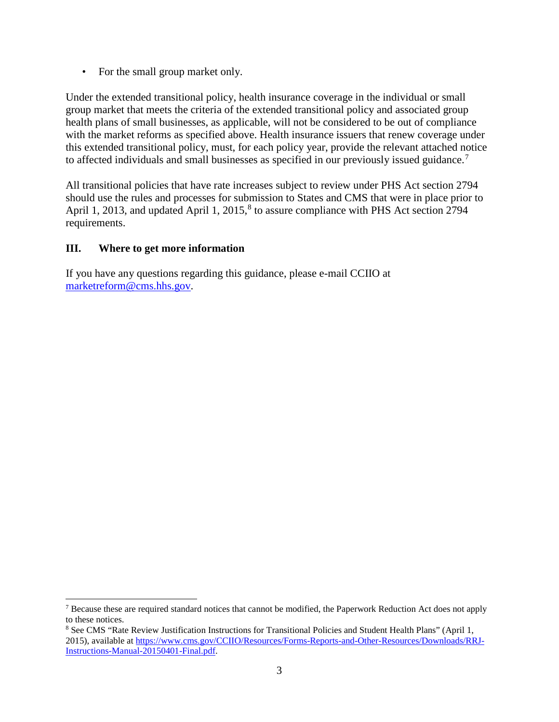• For the small group market only.

Under the extended transitional policy, health insurance coverage in the individual or small group market that meets the criteria of the extended transitional policy and associated group health plans of small businesses, as applicable, will not be considered to be out of compliance with the market reforms as specified above. Health insurance issuers that renew coverage under this extended transitional policy, must, for each policy year, provide the relevant attached notice to affected individuals and small businesses as specified in our previously issued guidance.[7](#page-2-0)

All transitional policies that have rate increases subject to review under PHS Act section 2794 should use the rules and processes for submission to States and CMS that were in place prior to April 1, 2013, and updated April 1, 2015,<sup>[8](#page-2-1)</sup> to assure compliance with PHS Act section 2794 requirements.

#### **III. Where to get more information**

l

If you have any questions regarding this guidance, please e-mail CCIIO at [marketreform@cms.hhs.gov.](mailto:marketreform@cms.hhs.gov)

<span id="page-2-0"></span> $<sup>7</sup>$  Because these are required standard notices that cannot be modified, the Paperwork Reduction Act does not apply</sup> to these notices.

<span id="page-2-1"></span><sup>8</sup> See CMS "Rate Review Justification Instructions for Transitional Policies and Student Health Plans" (April 1, 2015), available a[t https://www.cms.gov/CCIIO/Resources/Forms-Reports-and-Other-Resources/Downloads/RRJ-](https://www.cms.gov/CCIIO/Resources/Forms-Reports-and-Other-Resources/Downloads/RRJ-Instructions-Manual-20150401-Final.pdf)[Instructions-Manual-20150401-Final.pdf.](https://www.cms.gov/CCIIO/Resources/Forms-Reports-and-Other-Resources/Downloads/RRJ-Instructions-Manual-20150401-Final.pdf)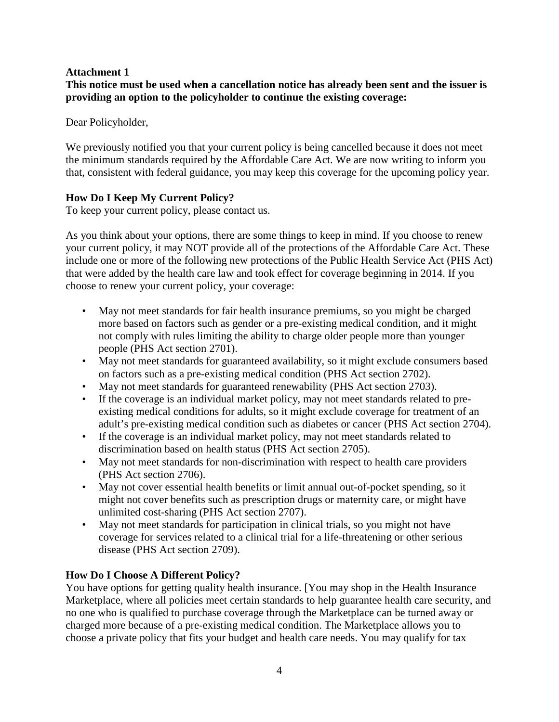### **Attachment 1**

**This notice must be used when a cancellation notice has already been sent and the issuer is providing an option to the policyholder to continue the existing coverage:** 

Dear Policyholder,

We previously notified you that your current policy is being cancelled because it does not meet the minimum standards required by the Affordable Care Act. We are now writing to inform you that, consistent with federal guidance, you may keep this coverage for the upcoming policy year.

# **How Do I Keep My Current Policy?**

To keep your current policy, please contact us.

As you think about your options, there are some things to keep in mind. If you choose to renew your current policy, it may NOT provide all of the protections of the Affordable Care Act. These include one or more of the following new protections of the Public Health Service Act (PHS Act) that were added by the health care law and took effect for coverage beginning in 2014. If you choose to renew your current policy, your coverage:

- May not meet standards for fair health insurance premiums, so you might be charged more based on factors such as gender or a pre-existing medical condition, and it might not comply with rules limiting the ability to charge older people more than younger people (PHS Act section 2701).
- May not meet standards for guaranteed availability, so it might exclude consumers based on factors such as a pre-existing medical condition (PHS Act section 2702).
- May not meet standards for guaranteed renewability (PHS Act section 2703).
- If the coverage is an individual market policy, may not meet standards related to preexisting medical conditions for adults, so it might exclude coverage for treatment of an adult's pre-existing medical condition such as diabetes or cancer (PHS Act section 2704).
- If the coverage is an individual market policy, may not meet standards related to discrimination based on health status (PHS Act section 2705).
- May not meet standards for non-discrimination with respect to health care providers (PHS Act section 2706).
- May not cover essential health benefits or limit annual out-of-pocket spending, so it might not cover benefits such as prescription drugs or maternity care, or might have unlimited cost-sharing (PHS Act section 2707).
- May not meet standards for participation in clinical trials, so you might not have coverage for services related to a clinical trial for a life-threatening or other serious disease (PHS Act section 2709).

# **How Do I Choose A Different Policy?**

You have options for getting quality health insurance. [You may shop in the Health Insurance Marketplace, where all policies meet certain standards to help guarantee health care security, and no one who is qualified to purchase coverage through the Marketplace can be turned away or charged more because of a pre-existing medical condition. The Marketplace allows you to choose a private policy that fits your budget and health care needs. You may qualify for tax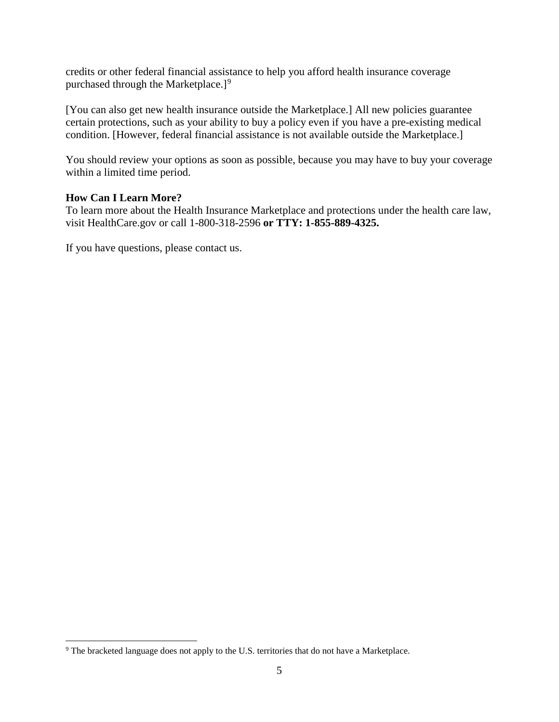credits or other federal financial assistance to help you afford health insurance coverage purchased through the Marketplace. $]$ <sup>[9](#page-4-0)</sup>

[You can also get new health insurance outside the Marketplace.] All new policies guarantee certain protections, such as your ability to buy a policy even if you have a pre-existing medical condition. [However, federal financial assistance is not available outside the Marketplace.]

You should review your options as soon as possible, because you may have to buy your coverage within a limited time period.

#### **How Can I Learn More?**

 $\overline{a}$ 

To learn more about the Health Insurance Marketplace and protections under the health care law, visit HealthCare.gov or call 1-800-318-2596 **or TTY: 1-855-889-4325.** 

If you have questions, please contact us.

<span id="page-4-0"></span><sup>&</sup>lt;sup>9</sup> The bracketed language does not apply to the U.S. territories that do not have a Marketplace.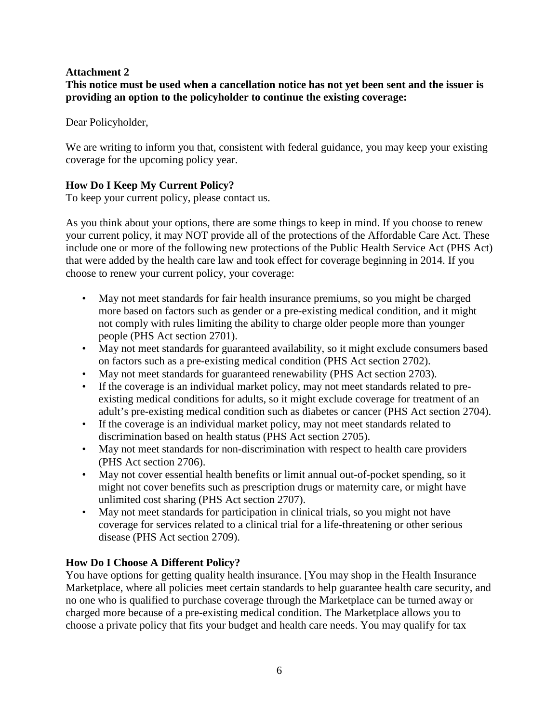# **Attachment 2**

**This notice must be used when a cancellation notice has not yet been sent and the issuer is providing an option to the policyholder to continue the existing coverage:** 

Dear Policyholder,

We are writing to inform you that, consistent with federal guidance, you may keep your existing coverage for the upcoming policy year.

# **How Do I Keep My Current Policy?**

To keep your current policy, please contact us.

As you think about your options, there are some things to keep in mind. If you choose to renew your current policy, it may NOT provide all of the protections of the Affordable Care Act. These include one or more of the following new protections of the Public Health Service Act (PHS Act) that were added by the health care law and took effect for coverage beginning in 2014. If you choose to renew your current policy, your coverage:

- May not meet standards for fair health insurance premiums, so you might be charged more based on factors such as gender or a pre-existing medical condition, and it might not comply with rules limiting the ability to charge older people more than younger people (PHS Act section 2701).
- May not meet standards for guaranteed availability, so it might exclude consumers based on factors such as a pre-existing medical condition (PHS Act section 2702).
- May not meet standards for guaranteed renewability (PHS Act section 2703).
- If the coverage is an individual market policy, may not meet standards related to preexisting medical conditions for adults, so it might exclude coverage for treatment of an adult's pre-existing medical condition such as diabetes or cancer (PHS Act section 2704).
- If the coverage is an individual market policy, may not meet standards related to discrimination based on health status (PHS Act section 2705).
- May not meet standards for non-discrimination with respect to health care providers (PHS Act section 2706).
- May not cover essential health benefits or limit annual out-of-pocket spending, so it might not cover benefits such as prescription drugs or maternity care, or might have unlimited cost sharing (PHS Act section 2707).
- May not meet standards for participation in clinical trials, so you might not have coverage for services related to a clinical trial for a life-threatening or other serious disease (PHS Act section 2709).

# **How Do I Choose A Different Policy?**

You have options for getting quality health insurance. [You may shop in the Health Insurance Marketplace, where all policies meet certain standards to help guarantee health care security, and no one who is qualified to purchase coverage through the Marketplace can be turned away or charged more because of a pre-existing medical condition. The Marketplace allows you to choose a private policy that fits your budget and health care needs. You may qualify for tax